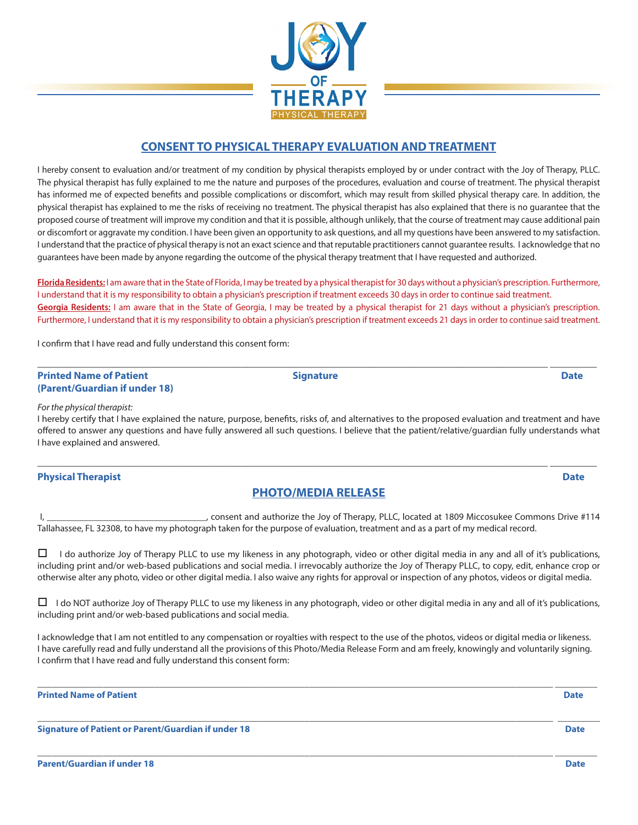

### **CONSENT TO PHYSICAL THERAPY EVALUATION AND TREATMENT**

I hereby consent to evaluation and/or treatment of my condition by physical therapists employed by or under contract with the Joy of Therapy, PLLC. The physical therapist has fully explained to me the nature and purposes of the procedures, evaluation and course of treatment. The physical therapist has informed me of expected benefits and possible complications or discomfort, which may result from skilled physical therapy care. In addition, the physical therapist has explained to me the risks of receiving no treatment. The physical therapist has also explained that there is no guarantee that the proposed course of treatment will improve my condition and that it is possible, although unlikely, that the course of treatment may cause additional pain or discomfort or aggravate my condition. I have been given an opportunity to ask questions, and all my questions have been answered to my satisfaction. I understand that the practice of physical therapy is not an exact science and that reputable practitioners cannot guarantee results. I acknowledge that no guarantees have been made by anyone regarding the outcome of the physical therapy treatment that I have requested and authorized.

**Florida Residents:** I am aware that in the State of Florida, I may be treated by a physical therapist for 30 days without a physician's prescription. Furthermore, I understand that it is my responsibility to obtain a physician's prescription if treatment exceeds 30 days in order to continue said treatment. **Georgia Residents:** I am aware that in the State of Georgia, I may be treated by a physical therapist for 21 days without a physician's prescription. Furthermore, I understand that it is my responsibility to obtain a physician's prescription if treatment exceeds 21 days in order to continue said treatment.

I confirm that I have read and fully understand this consent form:

#### \_\_\_\_\_\_\_\_\_\_\_\_\_\_\_\_\_\_\_\_\_\_\_\_\_\_\_\_\_\_\_\_\_\_\_\_\_\_\_\_\_\_\_\_\_\_\_\_\_\_\_\_\_\_\_\_\_\_\_\_\_\_\_\_\_\_\_\_\_\_\_\_\_\_\_\_\_\_\_\_\_\_\_\_\_\_\_\_\_\_\_\_\_\_\_\_\_\_ \_\_\_\_\_\_\_\_\_ **Printed Name of Patient Community Community Community Community Community Community Community Community Community Community Community Community Community Community Community Community Community Community Community Communi (Parent/Guardian if under 18)**

#### *For the physical therapist:*

I hereby certify that I have explained the nature, purpose, benefits, risks of, and alternatives to the proposed evaluation and treatment and have offered to answer any questions and have fully answered all such questions. I believe that the patient/relative/guardian fully understands what I have explained and answered.

#### **Physical Therapist Date**

### **PHOTO/MEDIA RELEASE**

\_\_\_\_\_\_\_\_\_\_\_\_\_\_\_\_\_\_\_\_\_\_\_\_\_\_\_\_\_\_\_\_\_\_\_\_\_\_\_\_\_\_\_\_\_\_\_\_\_\_\_\_\_\_\_\_\_\_\_\_\_\_\_\_\_\_\_\_\_\_\_\_\_\_\_\_\_\_\_\_\_\_\_\_\_\_\_\_\_\_\_\_\_\_\_\_\_\_ \_\_\_\_\_\_\_\_\_

 I, \_\_\_\_\_\_\_\_\_\_\_\_\_\_\_\_\_\_\_\_\_\_\_\_\_\_\_\_\_\_\_\_\_\_, consent and authorize the Joy of Therapy, PLLC, located at 1809 Miccosukee Commons Drive #114 Tallahassee, FL 32308, to have my photograph taken for the purpose of evaluation, treatment and as a part of my medical record.

 $\Box$  I do authorize Joy of Therapy PLLC to use my likeness in any photograph, video or other digital media in any and all of it's publications, including print and/or web-based publications and social media. I irrevocably authorize the Joy of Therapy PLLC, to copy, edit, enhance crop or otherwise alter any photo, video or other digital media. I also waive any rights for approval or inspection of any photos, videos or digital media.

 $\Box$  I do NOT authorize Joy of Therapy PLLC to use my likeness in any photograph, video or other digital media in any and all of it's publications, including print and/or web-based publications and social media.

I acknowledge that I am not entitled to any compensation or royalties with respect to the use of the photos, videos or digital media or likeness. I have carefully read and fully understand all the provisions of this Photo/Media Release Form and am freely, knowingly and voluntarily signing. I confirm that I have read and fully understand this consent form:

\_\_\_\_\_\_\_\_\_\_\_\_\_\_\_\_\_\_\_\_\_\_\_\_\_\_\_\_\_\_\_\_\_\_\_\_\_\_\_\_\_\_\_\_\_\_\_\_\_\_\_\_\_\_\_\_\_\_\_\_\_\_\_\_\_\_\_\_\_\_\_\_\_\_\_\_\_\_\_\_\_\_\_\_\_\_\_\_\_\_\_\_\_\_\_\_\_\_\_\_\_\_\_\_\_\_\_\_\_\_ \_\_\_\_\_\_\_\_\_

\_\_\_\_\_\_\_\_\_\_\_\_\_\_\_\_\_\_\_\_\_\_\_\_\_\_\_\_\_\_\_\_\_\_\_\_\_\_\_\_\_\_\_\_\_\_\_\_\_\_\_\_\_\_\_\_\_\_\_\_\_\_\_\_\_\_\_\_\_\_\_\_\_\_\_\_\_\_\_\_\_\_\_\_\_\_\_\_\_\_\_\_\_\_\_\_\_\_\_\_\_\_\_\_\_\_\_\_\_\_ \_\_\_\_\_\_\_\_\_

\_\_\_\_\_\_\_\_\_\_\_\_\_\_\_\_\_\_\_\_\_\_\_\_\_\_\_\_\_\_\_\_\_\_\_\_\_\_\_\_\_\_\_\_\_\_\_\_\_\_\_\_\_\_\_\_\_\_\_\_\_\_\_\_\_\_\_\_\_\_\_\_\_\_\_\_\_\_\_\_\_\_\_\_\_\_\_\_\_\_\_\_\_\_\_\_\_\_\_\_\_\_\_\_\_\_\_\_\_\_ \_\_\_\_\_\_\_\_\_

**Printed Name of Patient Date** 

**Signature of Patient or Parent/Guardian if under 18 Date**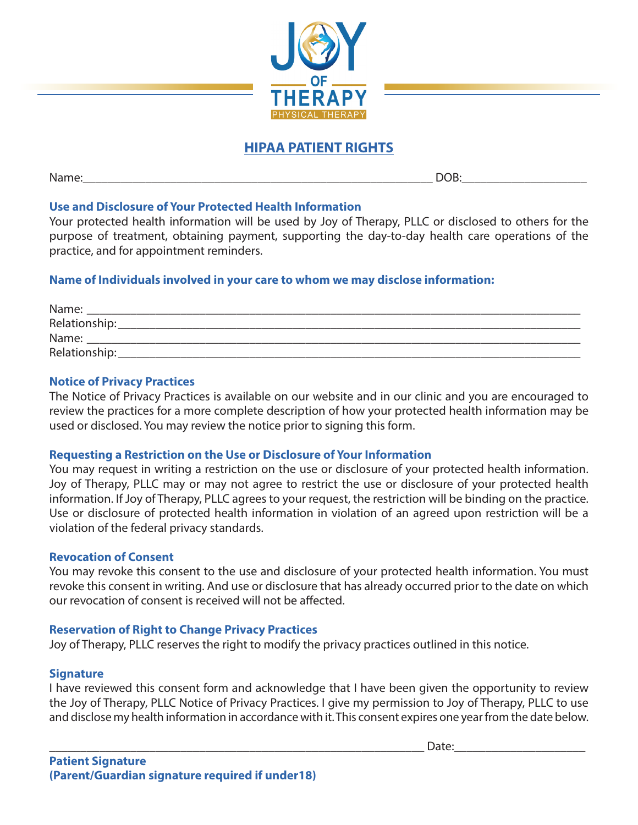

# **HIPAA PATIENT RIGHTS**

Name:\_\_\_\_\_\_\_\_\_\_\_\_\_\_\_\_\_\_\_\_\_\_\_\_\_\_\_\_\_\_\_\_\_\_\_\_\_\_\_\_\_\_\_\_\_\_\_\_\_\_\_\_\_\_\_\_ DOB:\_\_\_\_\_\_\_\_\_\_\_\_\_\_\_\_\_\_\_\_

# **Use and Disclosure of Your Protected Health Information**

Your protected health information will be used by Joy of Therapy, PLLC or disclosed to others for the purpose of treatment, obtaining payment, supporting the day-to-day health care operations of the practice, and for appointment reminders.

# **Name of Individuals involved in your care to whom we may disclose information:**

| Name:         |  |
|---------------|--|
| Relationship: |  |
| Name:         |  |
| Relationship: |  |

# **Notice of Privacy Practices**

The Notice of Privacy Practices is available on our website and in our clinic and you are encouraged to review the practices for a more complete description of how your protected health information may be used or disclosed. You may review the notice prior to signing this form.

# **Requesting a Restriction on the Use or Disclosure of Your Information**

You may request in writing a restriction on the use or disclosure of your protected health information. Joy of Therapy, PLLC may or may not agree to restrict the use or disclosure of your protected health information. If Joy of Therapy, PLLC agrees to your request, the restriction will be binding on the practice. Use or disclosure of protected health information in violation of an agreed upon restriction will be a violation of the federal privacy standards.

### **Revocation of Consent**

You may revoke this consent to the use and disclosure of your protected health information. You must revoke this consent in writing. And use or disclosure that has already occurred prior to the date on which our revocation of consent is received will not be affected.

### **Reservation of Right to Change Privacy Practices**

Joy of Therapy, PLLC reserves the right to modify the privacy practices outlined in this notice.

### **Signature**

I have reviewed this consent form and acknowledge that I have been given the opportunity to review the Joy of Therapy, PLLC Notice of Privacy Practices. I give my permission to Joy of Therapy, PLLC to use and disclose my health information in accordance with it. This consent expires one year from the date below.

\_\_\_\_\_\_\_\_\_\_\_\_\_\_\_\_\_\_\_\_\_\_\_\_\_\_\_\_\_\_\_\_\_\_\_\_\_\_\_\_\_\_\_\_\_\_\_\_\_\_\_\_\_\_\_\_\_\_\_\_ Date:\_\_\_\_\_\_\_\_\_\_\_\_\_\_\_\_\_\_\_\_\_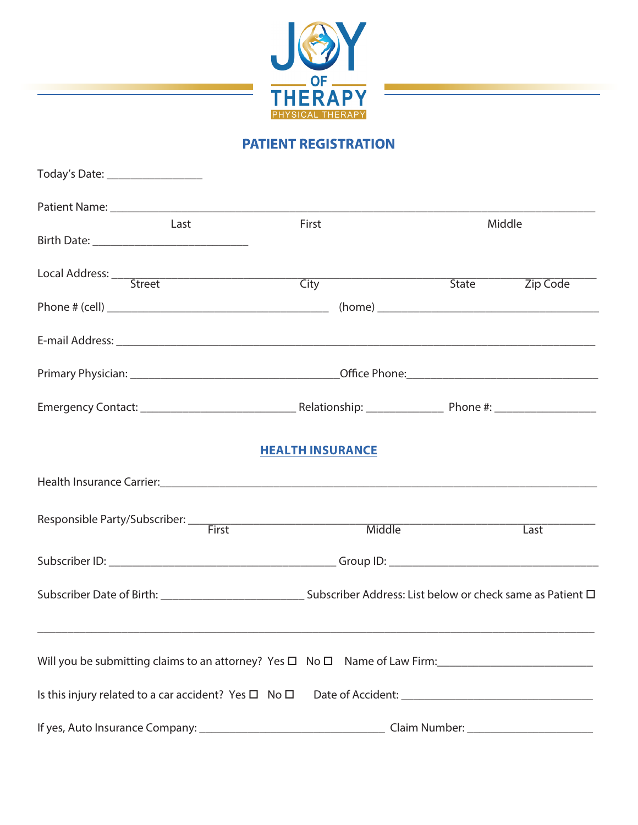

# **PATIENT REGISTRATION**

| Today's Date: ___________________                                                          |                         |        |                       |  |
|--------------------------------------------------------------------------------------------|-------------------------|--------|-----------------------|--|
|                                                                                            |                         |        |                       |  |
| Last                                                                                       | First                   | Middle |                       |  |
|                                                                                            |                         |        |                       |  |
|                                                                                            | <b>City</b>             |        | State <b>Zip Code</b> |  |
|                                                                                            |                         |        |                       |  |
|                                                                                            |                         |        |                       |  |
|                                                                                            |                         |        |                       |  |
|                                                                                            |                         |        |                       |  |
|                                                                                            | <b>HEALTH INSURANCE</b> |        |                       |  |
|                                                                                            |                         |        |                       |  |
|                                                                                            | Middle                  |        | Last                  |  |
|                                                                                            |                         |        |                       |  |
|                                                                                            |                         |        |                       |  |
|                                                                                            |                         |        |                       |  |
| Will you be submitting claims to an attorney? Yes $\square$ No $\square$ Name of Law Firm: |                         |        |                       |  |
|                                                                                            |                         |        |                       |  |
|                                                                                            |                         |        |                       |  |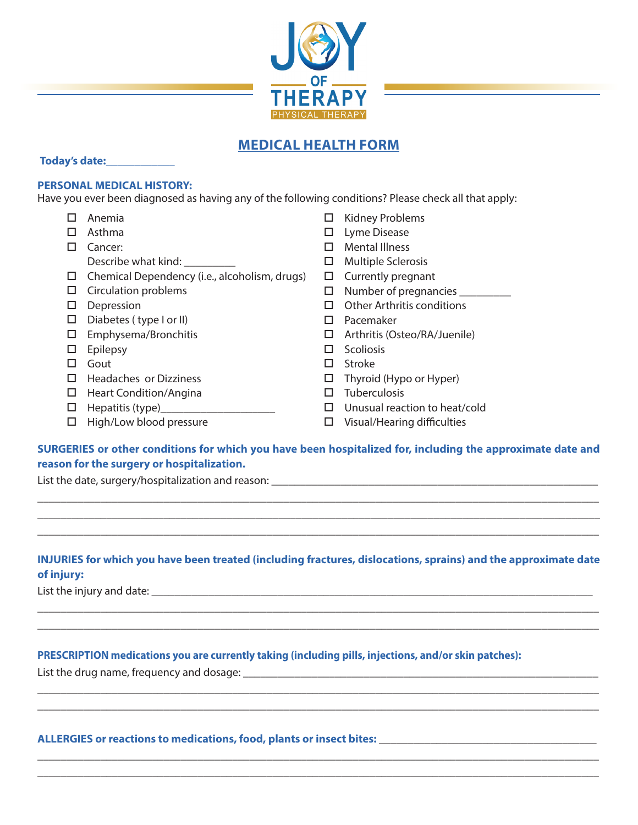

# **MEDICAL HEALTH FORM**

#### **Today's date:\_\_\_\_\_\_\_\_\_\_\_\_**

### **PERSONAL MEDICAL HISTORY:**

Have you ever been diagnosed as having any of the following conditions? Please check all that apply:

- $\square$  Anemia
- $\square$  Asthma
- **D** Cancer: Describe what kind:
- $\Box$  Chemical Dependency (i.e., alcoholism, drugs)
- $\square$  Circulation problems
- $\square$  Depression
- $\square$  Diabetes ( type I or II)
- $\square$  Emphysema/Bronchitis
- $\square$  Epilepsy
- $\Box$  Gout
- $\Box$  Headaches or Dizziness
- $\Box$  Heart Condition/Angina
- $\Box$  Hepatitis (type)
- $\Box$  High/Low blood pressure
- $\Box$  Kidney Problems
- $\square$  Lyme Disease
- $\Box$  Mental Illness
- $\Box$  Multiple Sclerosis
- $\square$  Currently pregnant
- $\Box$  Number of pregnancies  $\Box$
- $\Box$  Other Arthritis conditions
- $\square$  Pacemaker
- $\Box$  Arthritis (Osteo/RA/Juenile)
- $\square$  Scoliosis
- $\square$  Stroke
- $\Box$  Thyroid (Hypo or Hyper)
- $\square$  Tuberculosis
- $\square$  Unusual reaction to heat/cold
- $\square$  Visual/Hearing difficulties

# **SURGERIES or other conditions for which you have been hospitalized for, including the approximate date and reason for the surgery or hospitalization.**

\_\_\_\_\_\_\_\_\_\_\_\_\_\_\_\_\_\_\_\_\_\_\_\_\_\_\_\_\_\_\_\_\_\_\_\_\_\_\_\_\_\_\_\_\_\_\_\_\_\_\_\_\_\_\_\_\_\_\_\_\_\_\_\_\_\_\_\_\_\_\_\_\_\_\_\_\_\_\_\_\_\_\_\_\_\_\_\_\_\_\_\_\_\_\_\_\_\_ **\_\_\_\_\_\_\_\_\_\_\_\_\_\_\_\_\_\_\_\_\_\_\_\_\_\_\_\_\_\_\_\_\_\_\_\_\_\_\_\_\_\_\_\_\_\_\_\_\_\_\_\_\_\_\_\_\_\_\_\_\_\_\_\_\_\_\_\_\_\_\_\_\_\_\_\_\_\_\_\_\_\_\_\_\_\_\_\_\_\_\_\_\_\_\_\_\_**\_ \_\_\_\_\_\_\_\_\_\_\_\_\_\_\_\_\_\_\_\_\_\_\_\_\_\_\_\_\_\_\_\_\_\_\_\_\_\_\_\_\_\_\_\_\_\_\_\_\_\_\_\_\_\_\_\_\_\_\_\_\_\_\_\_\_\_\_\_\_\_\_\_\_\_\_\_\_\_\_\_\_\_\_\_\_\_\_\_\_\_\_\_\_\_\_\_\_\_

List the date, surgery/hospitalization and reason: \_\_\_\_\_\_\_\_\_\_\_\_\_\_\_\_\_\_\_\_\_\_\_\_\_\_\_\_\_\_

# **INJURIES for which you have been treated (including fractures, dislocations, sprains) and the approximate date of injury:**

\_\_\_\_\_\_\_\_\_\_\_\_\_\_\_\_\_\_\_\_\_\_\_\_\_\_\_\_\_\_\_\_\_\_\_\_\_\_\_\_\_\_\_\_\_\_\_\_\_\_\_\_\_\_\_\_\_\_\_\_\_\_\_\_\_\_\_\_\_\_\_\_\_\_\_\_\_\_\_\_\_\_\_\_\_\_\_\_\_\_\_\_\_\_\_\_\_\_ \_\_\_\_\_\_\_\_\_\_\_\_\_\_\_\_\_\_\_\_\_\_\_\_\_\_\_\_\_\_\_\_\_\_\_\_\_\_\_\_\_\_\_\_\_\_\_\_\_\_\_\_\_\_\_\_\_\_\_\_\_\_\_\_\_\_\_\_\_\_\_\_\_\_\_\_\_\_\_\_\_\_\_\_\_\_\_\_\_\_\_\_\_\_\_\_\_\_

\_\_\_\_\_\_\_\_\_\_\_\_\_\_\_\_\_\_\_\_\_\_\_\_\_\_\_\_\_\_\_\_\_\_\_\_\_\_\_\_\_\_\_\_\_\_\_\_\_\_\_\_\_\_\_\_\_\_\_\_\_\_\_\_\_\_\_\_\_\_\_\_\_\_\_\_\_\_\_\_\_\_\_\_\_\_\_\_\_\_\_\_\_\_\_\_\_\_ \_\_\_\_\_\_\_\_\_\_\_\_\_\_\_\_\_\_\_\_\_\_\_\_\_\_\_\_\_\_\_\_\_\_\_\_\_\_\_\_\_\_\_\_\_\_\_\_\_\_\_\_\_\_\_\_\_\_\_\_\_\_\_\_\_\_\_\_\_\_\_\_\_\_\_\_\_\_\_\_\_\_\_\_\_\_\_\_\_\_\_\_\_\_\_\_\_\_

\_\_\_\_\_\_\_\_\_\_\_\_\_\_\_\_\_\_\_\_\_\_\_\_\_\_\_\_\_\_\_\_\_\_\_\_\_\_\_\_\_\_\_\_\_\_\_\_\_\_\_\_\_\_\_\_\_\_\_\_\_\_\_\_\_\_\_\_\_\_\_\_\_\_\_\_\_\_\_\_\_\_\_\_\_\_\_\_\_\_\_\_\_\_\_\_\_\_ **\_\_\_\_\_\_\_\_\_\_\_\_\_\_\_\_\_\_\_\_\_\_\_\_\_\_\_\_\_\_\_\_\_\_\_\_\_\_\_\_\_\_\_\_\_\_\_\_\_\_\_\_\_\_\_\_\_\_\_\_\_\_\_\_\_\_\_\_\_\_\_\_\_\_\_\_\_\_\_\_\_\_\_\_\_\_\_\_\_\_\_\_\_\_\_\_\_\_**

List the injury and date:  $\Box$ 

### **PRESCRIPTION medications you are currently taking (including pills, injections, and/or skin patches):**

List the drug name, frequency and dosage:

### **ALLERGIES or reactions to medications, food, plants or insect bites: \_\_\_\_\_\_\_\_\_\_\_\_\_\_\_\_\_\_\_\_\_\_\_\_\_\_\_\_\_\_\_\_\_\_\_\_\_\_**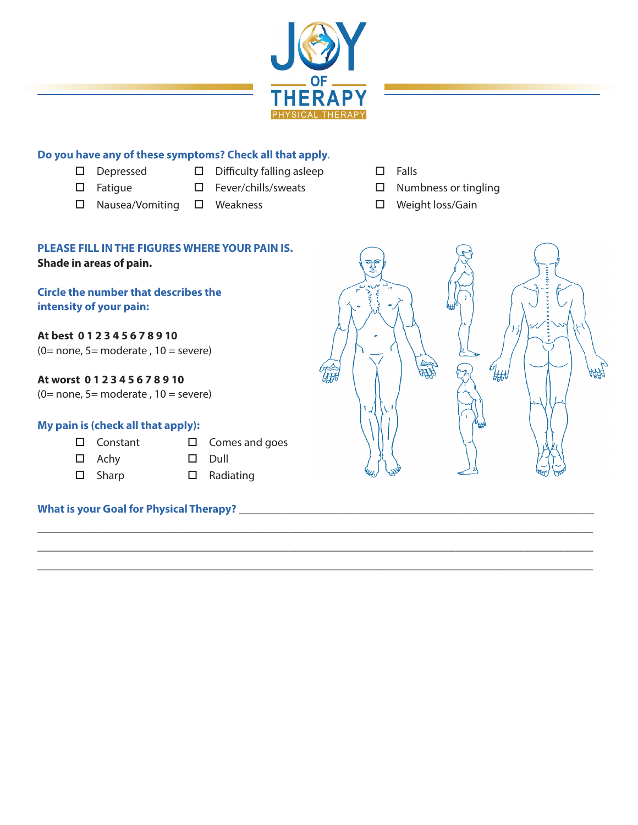

\_\_\_\_\_\_\_\_\_\_\_\_\_\_\_\_\_\_\_\_\_\_\_\_\_\_\_\_\_\_\_\_\_\_\_\_\_\_\_\_\_\_\_\_\_\_\_\_\_\_\_\_\_\_\_\_\_\_\_\_\_\_\_\_\_\_\_\_\_\_\_\_\_\_\_\_\_\_\_\_\_\_\_\_\_\_\_\_\_\_\_\_\_\_\_\_\_ \_\_\_\_\_\_\_\_\_\_\_\_\_\_\_\_\_\_\_\_\_\_\_\_\_\_\_\_\_\_\_\_\_\_\_\_\_\_\_\_\_\_\_\_\_\_\_\_\_\_\_\_\_\_\_\_\_\_\_\_\_\_\_\_\_\_\_\_\_\_\_\_\_\_\_\_\_\_\_\_\_\_\_\_\_\_\_\_\_\_\_\_\_\_\_\_\_ \_\_\_\_\_\_\_\_\_\_\_\_\_\_\_\_\_\_\_\_\_\_\_\_\_\_\_\_\_\_\_\_\_\_\_\_\_\_\_\_\_\_\_\_\_\_\_\_\_\_\_\_\_\_\_\_\_\_\_\_\_\_\_\_\_\_\_\_\_\_\_\_\_\_\_\_\_\_\_\_\_\_\_\_\_\_\_\_\_\_\_\_\_\_\_\_\_

# **Do you have any of these symptoms? Check all that apply**.

- 
- o Depressedo Difficulty falling asleepo Falls
- 
- 
- o Nausea/Vomitingo Weaknesso Weight loss/Gain
- 
- 
- o Fatigue o Fever/chills/sweatso Numbness or tingling
	-

# **PLEASE FILL IN THE FIGURES WHERE YOUR PAIN IS. Shade in areas of pain.**

# **Circle the number that describes the intensity of your pain:**

**At best 0 1 2 3 4 5 6 7 8 9 10** 

(0= none, 5= moderate,  $10 =$  severe)

# **At worst 0 1 2 3 4 5 6 7 8 9 10**

 $(0=$  none, 5 = moderate, 10 = severe)

### **My pain is (check all that apply):**

- $\square$  Constant  $\square$  Comes and goes
- $\square$  Achy  $\square$  Dull
- 
- $\square$  Sharp  $\square$  Radiating

# **What is your Goal for Physical Therapy?** \_\_\_\_\_\_\_\_\_\_\_\_\_\_\_\_\_\_\_\_\_\_\_\_\_\_\_\_\_\_\_\_\_\_\_\_\_\_\_\_\_\_\_\_\_\_\_\_\_\_\_\_\_\_\_\_\_\_\_\_\_\_

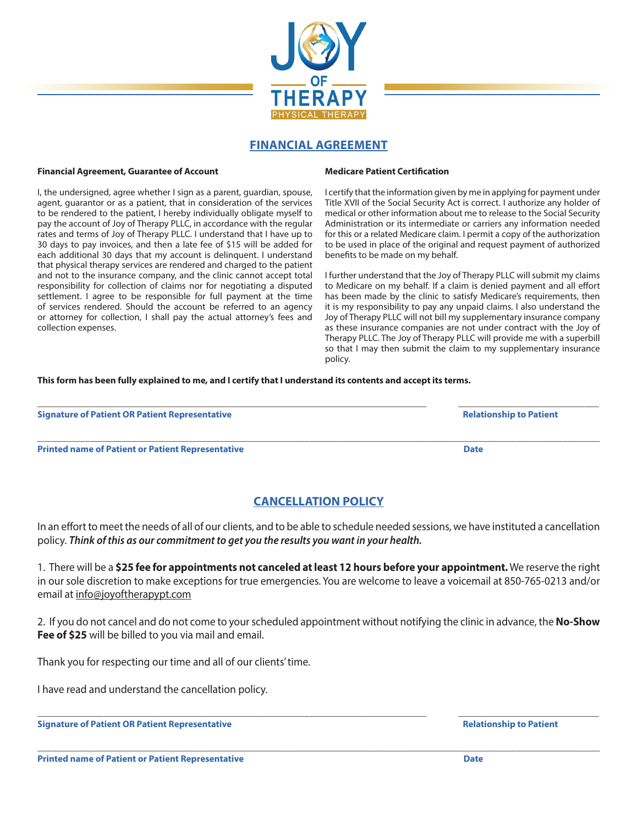

# **FINANCIAL AGREEMENT**

#### **Financial Agreement, Guarantee of Account**

I, the undersigned, agree whether I sign as a parent, guardian, spouse, agent, guarantor or as a patient, that in consideration of the services to be rendered to the patient, I hereby individually obligate myself to pay the account of Joy of Therapy PLLC, in accordance with the regular rates and terms of Joy of Therapy PLLC. I understand that I have up to 30 days to pay invoices, and then a late fee of \$15 will be added for each additional 30 days that my account is delinquent. I understand that physical therapy services are rendered and charged to the patient and not to the insurance company, and the clinic cannot accept total responsibility for collection of claims nor for negotiating a disputed settlement. I agree to be responsible for full payment at the time of services rendered. Should the account be referred to an agency or attorney for collection, I shall pay the actual attorney's fees and collection expenses.

#### **Medicare Patient Certification**

I certify that the information given by me in applying for payment under Title XVII of the Social Security Act is correct. I authorize any holder of medical or other information about me to release to the Social Security Administration or its intermediate or carriers any information needed for this or a related Medicare claim. I permit a copy of the authorization to be used in place of the original and request payment of authorized benefits to be made on my behalf.

I further understand that the Joy of Therapy PLLC will submit my claims to Medicare on my behalf. If a claim is denied payment and all effort has been made by the clinic to satisfy Medicare's requirements, then it is my responsibility to pay any unpaid claims. I also understand the Joy of Therapy PLLC will not bill my supplementary insurance company as these insurance companies are not under contract with the Joy of Therapy PLLC. The Joy of Therapy PLLC will provide me with a superbill so that I may then submit the claim to my supplementary insurance policy.

#### **This form has been fully explained to me, and I certify that I understand its contents and accept its terms.**

**Signature of Patient OR Patient Representative Accord Patient Accord Patient Accord Patient Accord Patient Accord Patient Accord Patient Accord Patient Accord Patient Accord Patient Accord Patient Accord Patient Accord Pa** 

**Printed name of Patient or Patient Representative and Date in the United States of Pater Date in the Date of Patient Representative and Date in the Date of Patient Representative and Date in the Date of Patient Representa** 

# **CANCELLATION POLICY**

\_\_\_\_\_\_\_\_\_\_\_\_\_\_\_\_\_\_\_\_\_\_\_\_\_\_\_\_\_\_\_\_\_\_\_\_\_\_\_\_\_\_\_\_\_\_\_\_\_\_\_\_\_\_\_\_\_\_\_\_\_\_\_\_\_\_\_\_\_\_\_\_\_\_\_\_\_\_\_\_\_\_\_ \_\_\_\_\_\_\_\_\_\_\_\_\_\_\_\_\_\_\_\_\_\_\_\_\_\_\_\_\_\_

 $\Box$  . The contribution of the contribution of the contribution of the contribution of the contribution of the contribution of the contribution of the contribution of the contribution of the contribution of the contributi

In an effort to meet the needs of all of our clients, and to be able to schedule needed sessions, we have instituted a cancellation policy. *Think of this as our commitment to get you the results you want in your health.*

1. There will be a **\$25 fee for appointments not canceled at least 12 hours before your appointment.** We reserve the right in our sole discretion to make exceptions for true emergencies. You are welcome to leave a voicemail at 850-765-0213 and/or email at info@joyoftherapypt.com

2. If you do not cancel and do not come to your scheduled appointment without notifying the clinic in advance, the **No-Show Fee of \$25** will be billed to you via mail and email.

\_\_\_\_\_\_\_\_\_\_\_\_\_\_\_\_\_\_\_\_\_\_\_\_\_\_\_\_\_\_\_\_\_\_\_\_\_\_\_\_\_\_\_\_\_\_\_\_\_\_\_\_\_\_\_\_\_\_\_\_\_\_\_\_\_\_\_\_\_\_\_\_\_\_\_\_\_\_\_\_\_\_\_ \_\_\_\_\_\_\_\_\_\_\_\_\_\_\_\_\_\_\_\_\_\_\_\_\_\_\_\_\_\_

\_\_\_\_\_\_\_\_\_\_\_\_\_\_\_\_\_\_\_\_\_\_\_\_\_\_\_\_\_\_\_\_\_\_\_\_\_\_\_\_\_\_\_\_\_\_\_\_\_\_\_\_\_\_\_\_\_\_\_\_\_\_\_\_\_\_\_\_\_\_\_\_\_\_\_\_\_\_\_\_\_\_\_\_\_\_\_\_\_\_\_\_\_\_\_\_\_\_\_\_\_\_\_\_\_\_\_\_\_\_\_\_\_\_\_\_\_\_\_\_

Thank you for respecting our time and all of our clients' time.

I have read and understand the cancellation policy.

**Signature of Patient OR Patient Representative Accord Accord Patient Accord Patient Accord Patient Accord Patient Accord Patient Accord Patient Accord Patient Accord Patient Accord Patient Accord Patient Accord Patient Ac**